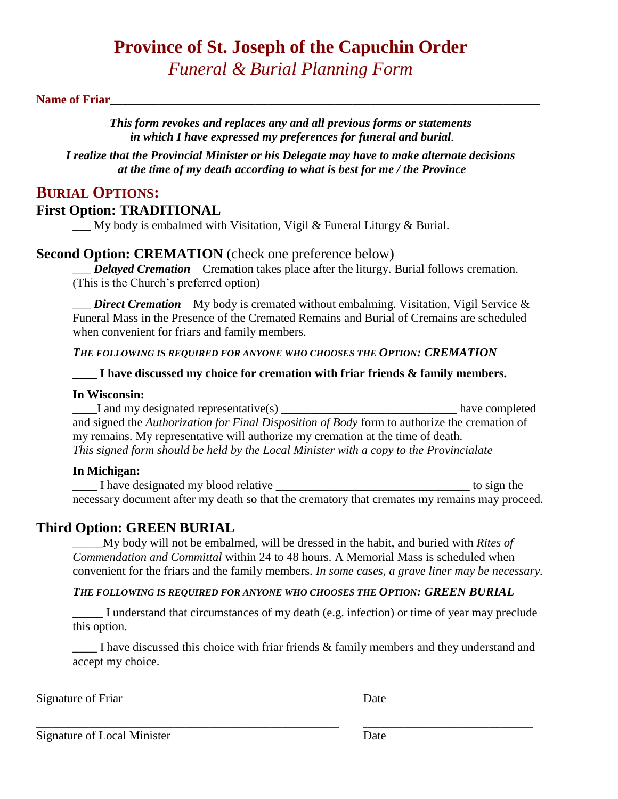# **Province of St. Joseph of the Capuchin Order**

*Funeral & Burial Planning Form*

#### Name of Friar

*This form revokes and replaces any and all previous forms or statements in which I have expressed my preferences for funeral and burial.*

*I realize that the Provincial Minister or his Delegate may have to make alternate decisions at the time of my death according to what is best for me / the Province*

# **BURIAL OPTIONS:**

#### **First Option: TRADITIONAL**

\_\_\_ My body is embalmed with Visitation, Vigil & Funeral Liturgy & Burial.

#### **Second Option: CREMATION** (check one preference below)

*<i>Delayed Cremation* – Cremation takes place after the liturgy. Burial follows cremation. (This is the Church's preferred option)

*\_\_\_ Direct Cremation –* My body is cremated without embalming. Visitation, Vigil Service & Funeral Mass in the Presence of the Cremated Remains and Burial of Cremains are scheduled when convenient for friars and family members.

*THE FOLLOWING IS REQUIRED FOR ANYONE WHO CHOOSES THE OPTION: CREMATION*

**I have discussed my choice for cremation with friar friends & family members.** 

#### **In Wisconsin:**

\_\_\_\_I and my designated representative(s) \_\_\_\_\_\_\_\_\_\_\_\_\_\_\_\_\_\_\_\_\_\_\_\_\_\_\_\_\_ have completed and signed the *Authorization for Final Disposition of Body* form to authorize the cremation of my remains. My representative will authorize my cremation at the time of death. *This signed form should be held by the Local Minister with a copy to the Provincialate*

#### **In Michigan:**

I have designated my blood relative to sign the to sign the necessary document after my death so that the crematory that cremates my remains may proceed.

## **Third Option: GREEN BURIAL**

\_\_\_\_\_My body will not be embalmed, will be dressed in the habit, and buried with *Rites of Commendation and Committal* within 24 to 48 hours. A Memorial Mass is scheduled when convenient for the friars and the family members. *In some cases, a grave liner may be necessary.* 

#### *THE FOLLOWING IS REQUIRED FOR ANYONE WHO CHOOSES THE OPTION: GREEN BURIAL*

\_\_\_\_\_ I understand that circumstances of my death (e.g. infection) or time of year may preclude this option.

\_\_\_\_ I have discussed this choice with friar friends & family members and they understand and accept my choice.

\_\_\_\_\_\_\_\_\_\_\_\_\_\_\_\_\_\_\_\_\_\_\_\_\_\_\_\_\_\_\_\_\_\_\_\_\_\_\_\_\_\_\_\_\_\_\_\_\_\_\_\_\_\_\_\_\_\_\_\_\_\_\_\_\_\_\_\_\_\_\_\_ \_\_\_\_\_\_\_\_\_\_\_\_\_\_\_\_\_\_\_\_\_\_\_\_\_\_\_\_\_\_\_\_\_\_\_\_\_\_\_\_\_\_

\_\_\_\_\_\_\_\_\_\_\_\_\_\_\_\_\_\_\_\_\_\_\_\_\_\_\_\_\_\_\_\_\_\_\_\_\_\_\_\_\_\_\_\_\_\_\_\_\_\_\_\_\_\_\_\_\_\_\_\_\_\_\_\_\_\_\_\_\_\_\_\_\_\_\_ \_\_\_\_\_\_\_\_\_\_\_\_\_\_\_\_\_\_\_\_\_\_\_\_\_\_\_\_\_\_\_\_\_\_\_\_\_\_\_\_\_\_

Signature of Friar Date

Signature of Local Minister Date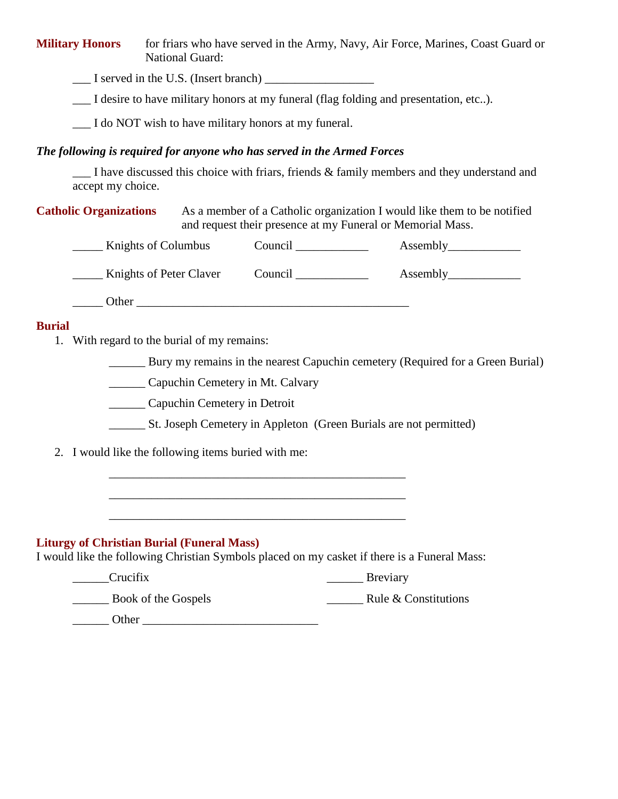**Military Honors** for friars who have served in the Army, Navy, Air Force, Marines, Coast Guard or National Guard:

I served in the U.S. (Insert branch)

\_\_\_ I desire to have military honors at my funeral (flag folding and presentation, etc..).

I do NOT wish to have military honors at my funeral.

#### *The following is required for anyone who has served in the Armed Forces*

I have discussed this choice with friars, friends  $\&$  family members and they understand and accept my choice.

**Catholic Organizations** As a member of a Catholic organization I would like them to be notified and request their presence at my Funeral or Memorial Mass.

| Knights of Columbus     | Council | Assembly |
|-------------------------|---------|----------|
| Knights of Peter Claver | Council | Assembly |

\_\_\_\_\_ Other \_\_\_\_\_\_\_\_\_\_\_\_\_\_\_\_\_\_\_\_\_\_\_\_\_\_\_\_\_\_\_\_\_\_\_\_\_\_\_\_\_\_\_\_\_

#### **Burial**

1. With regard to the burial of my remains:

Bury my remains in the nearest Capuchin cemetery (Required for a Green Burial)

\_\_\_\_\_\_ Capuchin Cemetery in Mt. Calvary

\_\_\_\_\_\_ Capuchin Cemetery in Detroit

\_\_\_\_\_\_ St. Joseph Cemetery in Appleton (Green Burials are not permitted)

2. I would like the following items buried with me:

## **Liturgy of Christian Burial (Funeral Mass)**

I would like the following Christian Symbols placed on my casket if there is a Funeral Mass:

\_\_\_\_\_\_\_\_\_\_\_\_\_\_\_\_\_\_\_\_\_\_\_\_\_\_\_\_\_\_\_\_\_\_\_\_\_\_\_\_\_\_\_\_\_\_\_\_\_

| Crucifix            | <b>Breviary</b>      |
|---------------------|----------------------|
| Book of the Gospels | Rule & Constitutions |
| Other               |                      |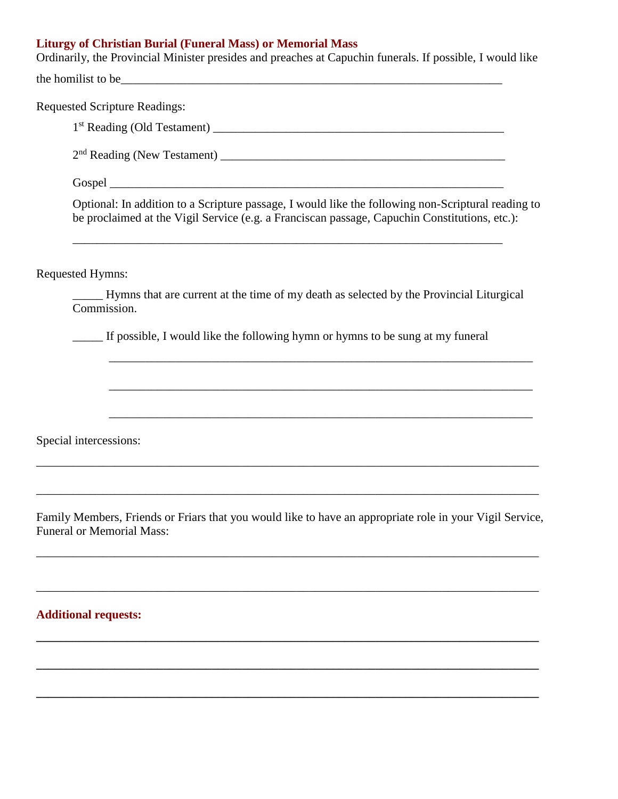# **Liturgy of Christian Burial (Funeral Mass) or Memorial Mass**

Ordinarily, the Provincial Minister presides and preaches at Capuchin funerals. If possible, I would like the homilist to be\_\_\_\_\_\_\_\_\_\_\_\_\_\_\_\_\_\_\_\_\_\_\_\_\_\_\_\_\_\_\_\_\_\_\_\_\_\_\_\_\_\_\_\_\_\_\_\_\_\_\_\_\_\_\_\_\_\_\_\_\_\_\_

| <b>Requested Scripture Readings:</b>                                                                                                                                                                |                                                                                                          |  |
|-----------------------------------------------------------------------------------------------------------------------------------------------------------------------------------------------------|----------------------------------------------------------------------------------------------------------|--|
|                                                                                                                                                                                                     |                                                                                                          |  |
|                                                                                                                                                                                                     |                                                                                                          |  |
|                                                                                                                                                                                                     |                                                                                                          |  |
| Optional: In addition to a Scripture passage, I would like the following non-Scriptural reading to<br>be proclaimed at the Vigil Service (e.g. a Franciscan passage, Capuchin Constitutions, etc.): |                                                                                                          |  |
| <b>Requested Hymns:</b>                                                                                                                                                                             |                                                                                                          |  |
| Commission.                                                                                                                                                                                         | Hymns that are current at the time of my death as selected by the Provincial Liturgical                  |  |
|                                                                                                                                                                                                     | If possible, I would like the following hymn or hymns to be sung at my funeral                           |  |
|                                                                                                                                                                                                     |                                                                                                          |  |
|                                                                                                                                                                                                     |                                                                                                          |  |
| Special intercessions:                                                                                                                                                                              |                                                                                                          |  |
|                                                                                                                                                                                                     |                                                                                                          |  |
| <b>Funeral or Memorial Mass:</b>                                                                                                                                                                    | Family Members, Friends or Friars that you would like to have an appropriate role in your Vigil Service, |  |
|                                                                                                                                                                                                     |                                                                                                          |  |
| <b>Additional requests:</b>                                                                                                                                                                         |                                                                                                          |  |

**\_\_\_\_\_\_\_\_\_\_\_\_\_\_\_\_\_\_\_\_\_\_\_\_\_\_\_\_\_\_\_\_\_\_\_\_\_\_\_\_\_\_\_\_\_\_\_\_\_\_\_\_\_\_\_\_\_\_\_\_\_\_\_\_\_\_\_\_\_\_\_\_\_\_\_\_\_\_\_\_\_\_\_**

**\_\_\_\_\_\_\_\_\_\_\_\_\_\_\_\_\_\_\_\_\_\_\_\_\_\_\_\_\_\_\_\_\_\_\_\_\_\_\_\_\_\_\_\_\_\_\_\_\_\_\_\_\_\_\_\_\_\_\_\_\_\_\_\_\_\_\_\_\_\_\_\_\_\_\_\_\_\_\_\_\_\_\_**

**\_\_\_\_\_\_\_\_\_\_\_\_\_\_\_\_\_\_\_\_\_\_\_\_\_\_\_\_\_\_\_\_\_\_\_\_\_\_\_\_\_\_\_\_\_\_\_\_\_\_\_\_\_\_\_\_\_\_\_\_\_\_\_\_\_\_\_\_\_\_\_\_\_\_\_\_\_\_\_\_\_\_\_**